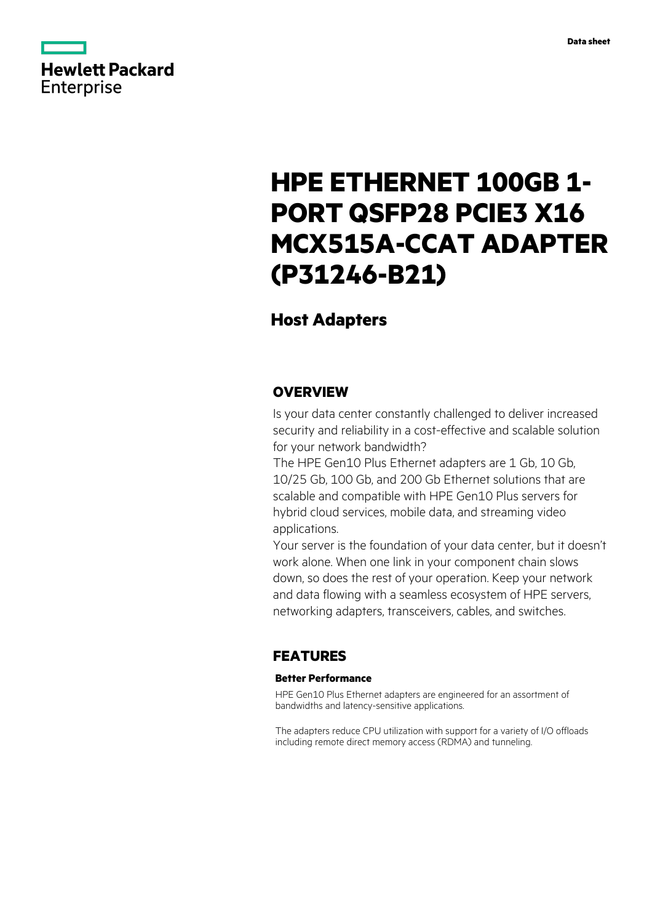

# **HPE ETHERNET 100GB 1- PORT QSFP28 PCIE3 X16 MCX515A-CCAT ADAPTER (P31246-B21)**

# **Host Adapters**

### **OVERVIEW**

Is your data center constantly challenged to deliver increased security and reliability in a cost-effective and scalable solution for your network bandwidth?

The HPE Gen10 Plus Ethernet adapters are 1 Gb, 10 Gb, 10/25 Gb, 100 Gb, and 200 Gb Ethernet solutions that are scalable and compatible with HPE Gen10 Plus servers for hybrid cloud services, mobile data, and streaming video applications.

Your server is the foundation of your data center, but it doesn't work alone. When one link in your component chain slows down, so does the rest of your operation. Keep your network and data flowing with a seamless ecosystem of HPE servers, networking adapters, transceivers, cables, and switches.

## **FEATURES**

### **Better Performance**

HPE Gen10 Plus Ethernet adapters are engineered for an assortment of bandwidths and latency-sensitive applications.

The adapters reduce CPU utilization with support for a variety of I/O offloads including remote direct memory access (RDMA) and tunneling.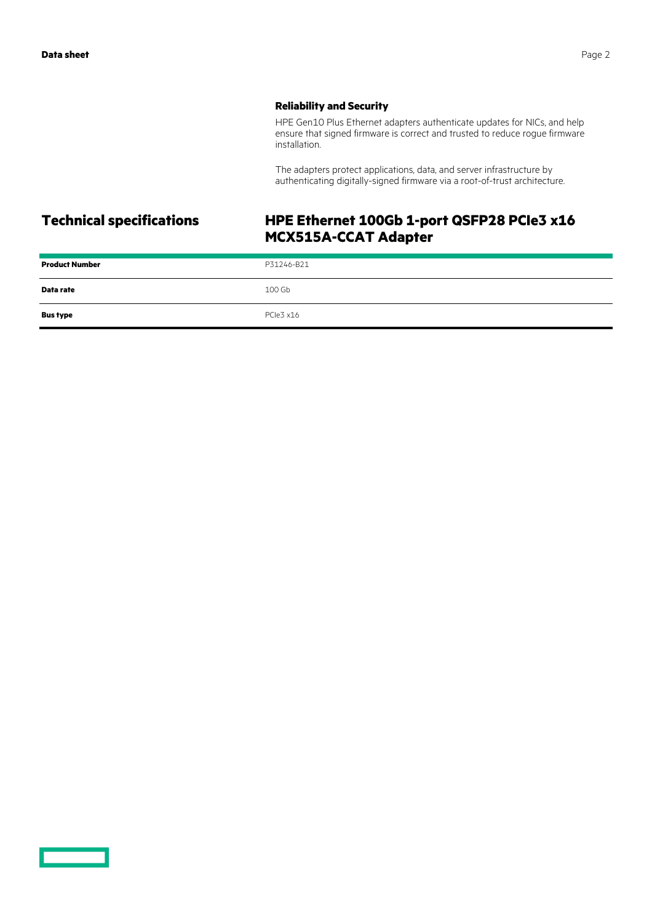### **Reliability and Security**

HPE Gen10 Plus Ethernet adapters authenticate updates for NICs, and help ensure that signed firmware is correct and trusted to reduce rogue firmware installation.

The adapters protect applications, data, and server infrastructure by authenticating digitally-signed firmware via a root-of-trust architecture.

# **Technical specifications HPE Ethernet 100Gb 1-port QSFP28 PCIe3 x16 MCX515A-CCAT Adapter**

| <b>Product Number</b> | P31246-B21 |
|-----------------------|------------|
| Data rate             | 100 Gb     |
| <b>Bus type</b>       | PCle3 x16  |